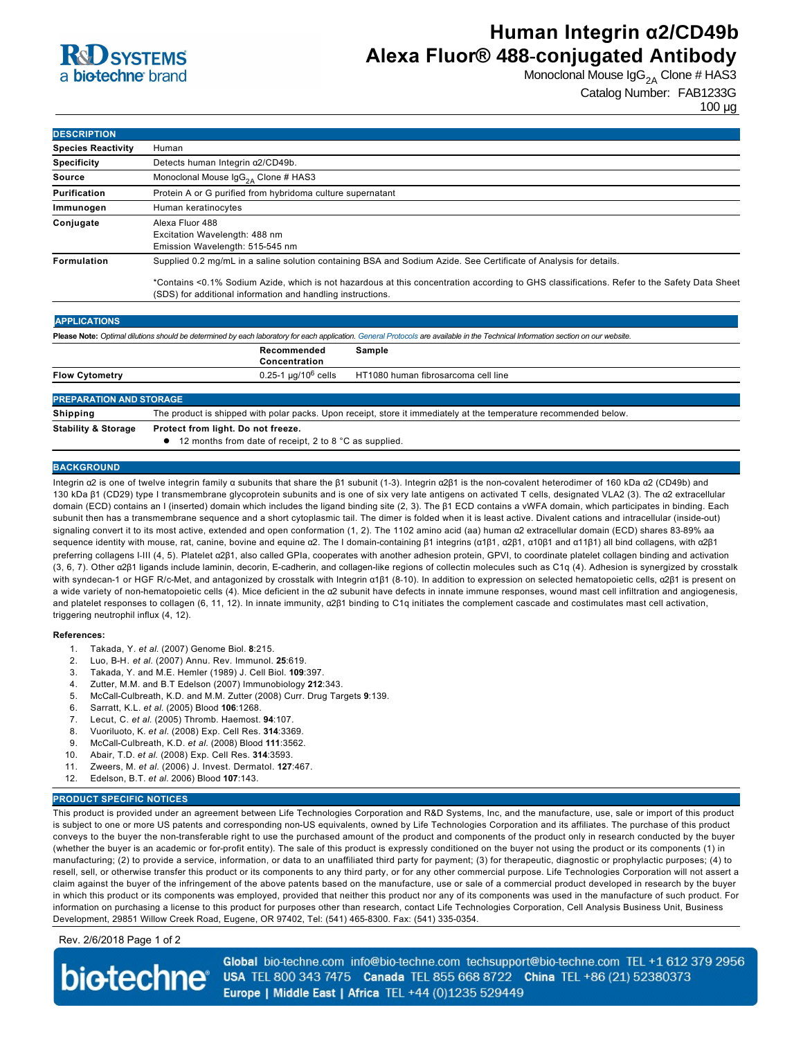## **RC OSYSTEMS** a **bio-techne** brand

# **Human Integrin α2/CD49b Alexa Fluor® 488-conjugated Antibody**

Monoclonal Mouse  $\text{lgG}_{2A}$  Clone # HAS3

Catalog Number: FAB1233G 100 µg

| <b>DESCRIPTION</b>        |                                                                                                                                                                                                                                                                                                                                 |  |
|---------------------------|---------------------------------------------------------------------------------------------------------------------------------------------------------------------------------------------------------------------------------------------------------------------------------------------------------------------------------|--|
| <b>Species Reactivity</b> | Human                                                                                                                                                                                                                                                                                                                           |  |
| <b>Specificity</b>        | Detects human Integrin a2/CD49b.                                                                                                                                                                                                                                                                                                |  |
| Source                    | Monoclonal Mouse $\text{lgG}_{24}$ Clone # HAS3                                                                                                                                                                                                                                                                                 |  |
| Purification              | Protein A or G purified from hybridoma culture supernatant                                                                                                                                                                                                                                                                      |  |
| Immunogen                 | Human keratinocytes                                                                                                                                                                                                                                                                                                             |  |
| Conjugate                 | Alexa Fluor 488<br>Excitation Wavelength: 488 nm<br>Emission Wavelength: 515-545 nm                                                                                                                                                                                                                                             |  |
| <b>Formulation</b>        | Supplied 0.2 mg/mL in a saline solution containing BSA and Sodium Azide. See Certificate of Analysis for details.<br>*Contains <0.1% Sodium Azide, which is not hazardous at this concentration according to GHS classifications. Refer to the Safety Data Sheet<br>(SDS) for additional information and handling instructions. |  |
| <b>APPLICATIONS</b>       | Please Note: Optimal dilutions should be determined by each laboratory for each application. General Protocols are available in the Technical Information section on our website.                                                                                                                                               |  |
|                           | Recommended<br>Sample                                                                                                                                                                                                                                                                                                           |  |

|                                | Concentration |                                                                        |  |
|--------------------------------|---------------|------------------------------------------------------------------------|--|
| <b>Flow Cytometry</b>          |               | $0.25$ -1 µg/10 <sup>6</sup> cells HT1080 human fibrosarcoma cell line |  |
|                                |               |                                                                        |  |
| <b>PREPARATION AND STORAGE</b> |               |                                                                        |  |

**Shipping** The product is shipped with polar packs. Upon receipt, store it immediately at the temperature recommended below **Stability & Storage Protect from light. Do not freeze.**

 $\bullet$  12 months from date of receipt, 2 to 8 °C as supplied.

### **BACKGROUND**

Integrin α2 is one of twelve integrin family α subunits that share the β1 subunit (1-3). Integrin α2β1 is the non-covalent heterodimer of 160 kDa α2 (CD49b) and 130 kDa β1 (CD29) type I transmembrane glycoprotein subunits and is one of six very late antigens on activated T cells, designated VLA2 (3). The α2 extracellular domain (ECD) contains an I (inserted) domain which includes the ligand binding site (2, 3). The β1 ECD contains a vWFA domain, which participates in binding. Each subunit then has a transmembrane sequence and a short cytoplasmic tail. The dimer is folded when it is least active. Divalent cations and intracellular (inside-out) signaling convert it to its most active, extended and open conformation (1, 2). The 1102 amino acid (aa) human α2 extracellular domain (ECD) shares 83-89% aa sequence identity with mouse, rat, canine, bovine and equine α2. The I domain-containing β1 integrins (α1β1, α2β1, α10β1 and α11β1) all bind collagens, with α2β1 preferring collagens I-III (4, 5). Platelet α2β1, also called GPIa, cooperates with another adhesion protein, GPVI, to coordinate platelet collagen binding and activation (3, 6, 7). Other α2β1 ligands include laminin, decorin, E-cadherin, and collagen-like regions of collectin molecules such as C1q (4). Adhesion is synergized by crosstalk with syndecan-1 or HGF R/c-Met, and antagonized by crosstalk with Integrin α1β1 (8-10). In addition to expression on selected hematopoietic cells, α2β1 is present on a wide variety of non-hematopoietic cells (4). Mice deficient in the a2 subunit have defects in innate immune responses, wound mast cell infiltration and angiogenesis, and platelet responses to collagen (6, 11, 12). In innate immunity, α2β1 binding to C1q initiates the complement cascade and costimulates mast cell activation, triggering neutrophil influx (4, 12).

#### **References:**

- 1. Takada, Y. *et al*. (2007) Genome Biol. **8**:215.
- 2. Luo, BH. *et al*. (2007) Annu. Rev. Immunol. **25**:619.
- 3. Takada, Y. and M.E. Hemler (1989) J. Cell Biol. **109**:397.
- 4. Zutter, M.M. and B.T Edelson (2007) Immunobiology **212**:343.
- 5. McCallCulbreath, K.D. and M.M. Zutter (2008) Curr. Drug Targets **9**:139.
- 6. Sarratt, K.L. *et al*. (2005) Blood **106**:1268.
- 7. Lecut, C. *et al*. (2005) Thromb. Haemost. **94**:107.
- 8. Vuoriluoto, K. *et al.* (2008) Exp. Cell Res. **314**:3369.
- 9. McCall-Culbreath, K.D. *et al.* (2008) Blood 111:3562.
- 10. Abair, T.D. *et al*. (2008) Exp. Cell Res. **314**:3593.
- 11. Zweers, M. *et al.* (2006) J. Invest. Dermatol. **127**:467.
- 12. Edelson, B.T. *et al*. 2006) Blood **107**:143.

### **PRODUCT SPECIFIC NOTICES**

This product is provided under an agreement between Life Technologies Corporation and R&D Systems, Inc, and the manufacture, use, sale or import of this product is subject to one or more US patents and corresponding non-US equivalents, owned by Life Technologies Corporation and its affiliates. The purchase of this product conveys to the buyer the non-transferable right to use the purchased amount of the product and components of the product only in research conducted by the buyer (whether the buyer is an academic or for-profit entity). The sale of this product is expressly conditioned on the buyer not using the product or its components (1) in manufacturing; (2) to provide a service, information, or data to an unaffiliated third party for payment; (3) for therapeutic, diagnostic or prophylactic purposes; (4) to resell, sell, or otherwise transfer this product or its components to any third party, or for any other commercial purpose. Life Technologies Corporation will not assert a claim against the buyer of the infringement of the above patents based on the manufacture, use or sale of a commercial product developed in research by the buyer in which this product or its components was employed, provided that neither this product nor any of its components was used in the manufacture of such product. For information on purchasing a license to this product for purposes other than research, contact Life Technologies Corporation, Cell Analysis Business Unit, Business Development, 29851 Willow Creek Road, Eugene, OR 97402, Tel: (541) 465-8300. Fax: (541) 335-0354.

Rev. 2/6/2018 Page 1 of 2

**biotechne** 

Global bio-techne.com info@bio-techne.com techsupport@bio-techne.com TEL +1 612 379 2956 USA TEL 800 343 7475 Canada TEL 855 668 8722 China TEL +86 (21) 52380373 Europe | Middle East | Africa TEL +44 (0)1235 529449